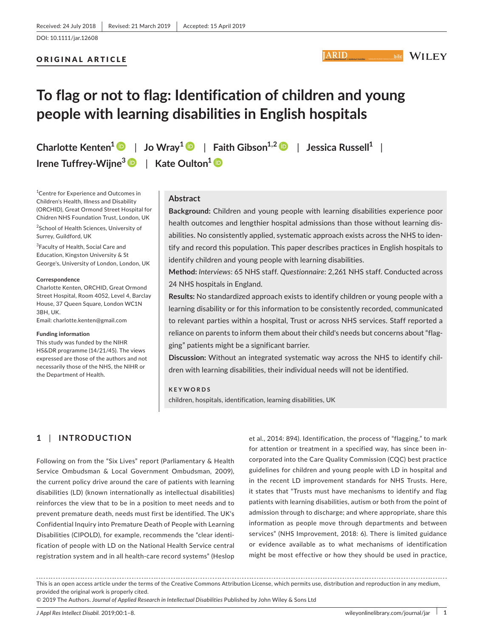## ORIGINAL ARTICLE

# **To flag or not to flag: Identification of children and young people with learning disabilities in English hospitals**

**Charlotte Kenten<sup>1</sup>** | **Jo Wray<sup>1</sup>** | **Faith Gibson1,[2](https://orcid.org/0000-0002-8125-4584)** | **Jessica Russell<sup>1</sup>** | **Irene Tuffrey‐Wijne[3](https://orcid.org/0000-0002-7288-9529)** | **Kate Oulton<sup>1</sup>**

1 Centre for Experience and Outcomes in Children's Health, Illness and Disability (ORCHID), Great Ormond Street Hospital for Chidren NHS Foundation Trust, London, UK

<sup>2</sup>School of Health Sciences, University of Surrey, Guildford, UK

<sup>3</sup>Faculty of Health, Social Care and Education, Kingston University & St George's, University of London, London, UK

#### **Correspondence**

Charlotte Kenten, ORCHID, Great Ormond Street Hospital, Room 4052, Level 4, Barclay House, 37 Queen Square, London WC1N 3BH, UK.

Email: [charlotte.kenten@gmail.com](mailto:charlotte.kenten@gmail.com)

#### **Funding information**

This study was funded by the NIHR HS&DR programme (14/21/45). The views expressed are those of the authors and not necessarily those of the NHS, the NIHR or the Department of Health.

## **Abstract**

**Background:** Children and young people with learning disabilities experience poor health outcomes and lengthier hospital admissions than those without learning dis‐ abilities. No consistently applied, systematic approach exists across the NHS to iden‐ tify and record this population. This paper describes practices in English hospitals to identify children and young people with learning disabilities.

**ARID** 

**WILEY** 

**Method:** *Interviews*: 65 NHS staff. *Questionnaire*: 2,261 NHS staff. Conducted across 24 NHS hospitals in England.

**Results:** No standardized approach exists to identify children or young people with a learning disability or for this information to be consistently recorded, communicated to relevant parties within a hospital, Trust or across NHS services. Staff reported a reliance on parents to inform them about their child's needs but concerns about "flag‐ ging" patients might be a significant barrier.

**Discussion:** Without an integrated systematic way across the NHS to identify chil‐ dren with learning disabilities, their individual needs will not be identified.

**KEYWORDS** children, hospitals, identification, learning disabilities, UK

# **1** | **INTRODUCTION**

Following on from the "Six Lives" report (Parliamentary & Health Service Ombudsman & Local Government Ombudsman, 2009), the current policy drive around the care of patients with learning disabilities (LD) (known internationally as intellectual disabilities) reinforces the view that to be in a position to meet needs and to prevent premature death, needs must first be identified. The UK's Confidential Inquiry into Premature Death of People with Learning Disabilities (CIPOLD), for example, recommends the "clear identi‐ fication of people with LD on the National Health Service central registration system and in all health‐care record systems" (Heslop

et al., 2014: 894). Identification, the process of "flagging," to mark for attention or treatment in a specified way, has since been in‐ corporated into the Care Quality Commission (CQC) best practice guidelines for children and young people with LD in hospital and in the recent LD improvement standards for NHS Trusts. Here, it states that "Trusts must have mechanisms to identify and flag patients with learning disabilities, autism or both from the point of admission through to discharge; and where appropriate, share this information as people move through departments and between services" (NHS Improvement, 2018: 6). There is limited guidance or evidence available as to what mechanisms of identification might be most effective or how they should be used in practice,

This is an open access article under the terms of the Creative Commons [Attribution](http://creativecommons.org/licenses/by/4.0/) License, which permits use, distribution and reproduction in any medium, provided the original work is properly cited.

© 2019 The Authors. *Journal of Applied Research in Intellectual Disabilities* Published by John Wiley & Sons Ltd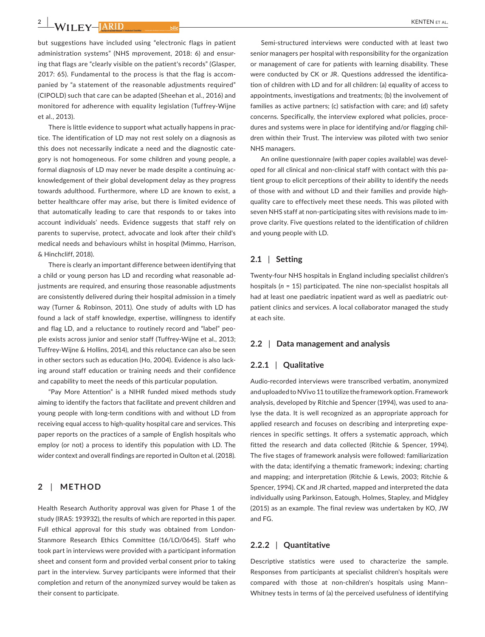**2**  $\frac{}{\sqrt{11}}$  **WILEY- ARID** 

but suggestions have included using "electronic flags in patient administration systems" (NHS mprovement, 2018: 6) and ensur‐ ing that flags are "clearly visible on the patient's records" (Glasper, 2017: 65). Fundamental to the process is that the flag is accom‐ panied by "a statement of the reasonable adjustments required" (CIPOLD) such that care can be adapted (Sheehan et al., 2016) and monitored for adherence with equality legislation (Tuffrey‐Wijne et al., 2013).

There is little evidence to support what actually happens in prac‐ tice. The identification of LD may not rest solely on a diagnosis as this does not necessarily indicate a need and the diagnostic cate‐ gory is not homogeneous. For some children and young people, a formal diagnosis of LD may never be made despite a continuing ac‐ knowledgement of their global development delay as they progress towards adulthood. Furthermore, where LD are known to exist, a better healthcare offer may arise, but there is limited evidence of that automatically leading to care that responds to or takes into account individuals' needs. Evidence suggests that staff rely on parents to supervise, protect, advocate and look after their child's medical needs and behaviours whilst in hospital (Mimmo, Harrison, & Hinchcliff, 2018).

There is clearly an important difference between identifying that a child or young person has LD and recording what reasonable ad‐ justments are required, and ensuring those reasonable adjustments are consistently delivered during their hospital admission in a timely way (Turner & Robinson, 2011). One study of adults with LD has found a lack of staff knowledge, expertise, willingness to identify and flag LD, and a reluctance to routinely record and "label" peo‐ ple exists across junior and senior staff (Tuffrey‐Wijne et al., 2013; Tuffrey‐Wijne & Hollins, 2014), and this reluctance can also be seen in other sectors such as education (Ho, 2004). Evidence is also lack‐ ing around staff education or training needs and their confidence and capability to meet the needs of this particular population.

"Pay More Attention" is a NIHR funded mixed methods study aiming to identify the factors that facilitate and prevent children and young people with long‐term conditions with and without LD from receiving equal access to high‐quality hospital care and services. This paper reports on the practices of a sample of English hospitals who employ (or not) a process to identify this population with LD. The wider context and overall findings are reported in Oulton et al. (2018).

## **2** | **METHOD**

Health Research Authority approval was given for Phase 1 of the study (IRAS: 193932), the results of which are reported in this paper. Full ethical approval for this study was obtained from London‐ Stanmore Research Ethics Committee (16/LO/0645). Staff who took part in interviews were provided with a participant information sheet and consent form and provided verbal consent prior to taking part in the interview. Survey participants were informed that their completion and return of the anonymized survey would be taken as their consent to participate.

Semi-structured interviews were conducted with at least two senior managers per hospital with responsibility for the organization or management of care for patients with learning disability. These were conducted by CK or JR. Questions addressed the identification of children with LD and for all children: (a) equality of access to appointments, investigations and treatments; (b) the involvement of families as active partners; (c) satisfaction with care; and (d) safety concerns. Specifically, the interview explored what policies, proce‐ dures and systems were in place for identifying and/or flagging chil‐ dren within their Trust. The interview was piloted with two senior NHS managers.

An online questionnaire (with paper copies available) was devel‐ oped for all clinical and non‐clinical staff with contact with this pa‐ tient group to elicit perceptions of their ability to identify the needs of those with and without LD and their families and provide high‐ quality care to effectively meet these needs. This was piloted with seven NHS staff at non-participating sites with revisions made to improve clarity. Five questions related to the identification of children and young people with LD.

## **2.1** | **Setting**

Twenty‐four NHS hospitals in England including specialist children's hospitals (*n* = 15) participated. The nine non‐specialist hospitals all had at least one paediatric inpatient ward as well as paediatric outpatient clinics and services. A local collaborator managed the study at each site.

#### **2.2** | **Data management and analysis**

#### **2.2.1** | **Qualitative**

Audio‐recorded interviews were transcribed verbatim, anonymized and uploaded to NVivo 11 to utilize the framework option. Framework analysis, developed by Ritchie and Spencer (1994), was used to ana‐ lyse the data. It is well recognized as an appropriate approach for applied research and focuses on describing and interpreting expe‐ riences in specific settings. It offers a systematic approach, which fitted the research and data collected (Ritchie & Spencer, 1994). The five stages of framework analysis were followed: familiarization with the data; identifying a thematic framework; indexing; charting and mapping; and interpretation (Ritchie & Lewis, 2003; Ritchie & Spencer, 1994). CK and JR charted, mapped and interpreted the data individually using Parkinson, Eatough, Holmes, Stapley, and Midgley (2015) as an example. The final review was undertaken by KO, JW and FG.

#### **2.2.2** | **Quantitative**

Descriptive statistics were used to characterize the sample. Responses from participants at specialist children's hospitals were compared with those at non‐children's hospitals using Mann– Whitney tests in terms of (a) the perceived usefulness of identifying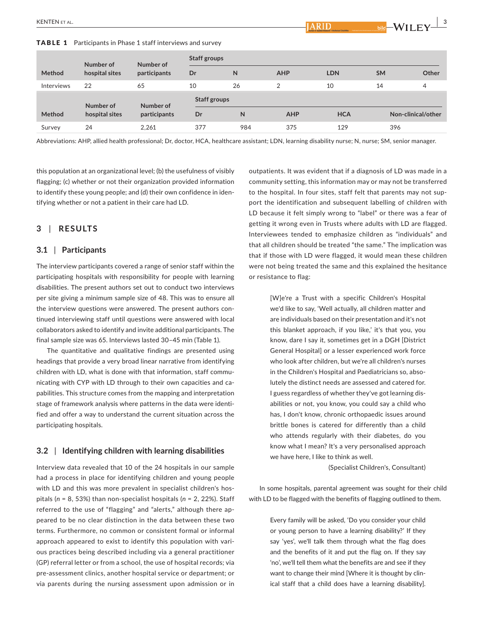TABLE 1 Participants in Phase 1 staff interviews and survey

|            | Number of      | Number of<br>participants | Staff groups        |     |                |            |           |                    |
|------------|----------------|---------------------------|---------------------|-----|----------------|------------|-----------|--------------------|
| Method     | hospital sites |                           | Dr                  | N   | <b>AHP</b>     | <b>LDN</b> | <b>SM</b> | Other              |
| Interviews | 22             | 65                        | 10                  | 26  | $\overline{2}$ | 10         | 14        | 4                  |
|            | Number of      | Number of                 | <b>Staff groups</b> |     |                |            |           |                    |
| Method     | hospital sites | participants              | Dr                  | N   | <b>AHP</b>     | <b>HCA</b> |           | Non-clinical/other |
| Survey     | 24             | 2,261                     | 377                 | 984 | 375            | 129        | 396       |                    |

Abbreviations: AHP, allied health professional; Dr, doctor, HCA, healthcare assistant; LDN, learning disability nurse; N, nurse; SM, senior manager.

this population at an organizational level; (b) the usefulness of visibly flagging; (c) whether or not their organization provided information to identify these young people; and (d) their own confidence in iden‐ tifying whether or not a patient in their care had LD.

## **3** | **RESULTS**

#### **3.1** | **Participants**

The interview participants covered a range of senior staff within the participating hospitals with responsibility for people with learning disabilities. The present authors set out to conduct two interviews per site giving a minimum sample size of 48. This was to ensure all the interview questions were answered. The present authors continued interviewing staff until questions were answered with local collaborators asked to identify and invite additional participants. The final sample size was 65. Interviews lasted 30–45 min (Table 1).

The quantitative and qualitative findings are presented using headings that provide a very broad linear narrative from identifying children with LD, what is done with that information, staff commu‐ nicating with CYP with LD through to their own capacities and ca‐ pabilities. This structure comes from the mapping and interpretation stage of framework analysis where patterns in the data were identi‐ fied and offer a way to understand the current situation across the participating hospitals.

#### **3.2** | **Identifying children with learning disabilities**

Interview data revealed that 10 of the 24 hospitals in our sample had a process in place for identifying children and young people with LD and this was more prevalent in specialist children's hospitals (*n* = 8, 53%) than non‐specialist hospitals (*n* = 2, 22%). Staff referred to the use of "flagging" and "alerts," although there appeared to be no clear distinction in the data between these two terms. Furthermore, no common or consistent formal or informal approach appeared to exist to identify this population with vari‐ ous practices being described including via a general practitioner (GP) referral letter or from a school, the use of hospital records; via pre‐assessment clinics, another hospital service or department; or via parents during the nursing assessment upon admission or in

outpatients. It was evident that if a diagnosis of LD was made in a community setting, this information may or may not be transferred to the hospital. In four sites, staff felt that parents may not sup‐ port the identification and subsequent labelling of children with LD because it felt simply wrong to "label" or there was a fear of getting it wrong even in Trusts where adults with LD are flagged. Interviewees tended to emphasize children as "individuals" and that all children should be treated "the same." The implication was that if those with LD were flagged, it would mean these children were not being treated the same and this explained the hesitance or resistance to flag:

ARID

[W]e're a Trust with a specific Children's Hospital we'd like to say, 'Well actually, all children matter and are individuals based on their presentation and it's not this blanket approach, if you like,' it's that you, you know, dare I say it, sometimes get in a DGH [District General Hospital] or a lesser experienced work force who look after children, but we're all children's nurses in the Children's Hospital and Paediatricians so, abso‐ lutely the distinct needs are assessed and catered for. I guess regardless of whether they've got learning dis‐ abilities or not, you know, you could say a child who has, I don't know, chronic orthopaedic issues around brittle bones is catered for differently than a child who attends regularly with their diabetes, do you know what I mean? It's a very personalised approach we have here, I like to think as well.

(Specialist Children's, Consultant)

In some hospitals, parental agreement was sought for their child with LD to be flagged with the benefits of flagging outlined to them.

> Every family will be asked, 'Do you consider your child or young person to have a learning disability?' If they say 'yes', we'll talk them through what the flag does and the benefits of it and put the flag on. If they say 'no', we'll tell them what the benefits are and see if they want to change their mind [Where it is thought by clinical staff that a child does have a learning disability].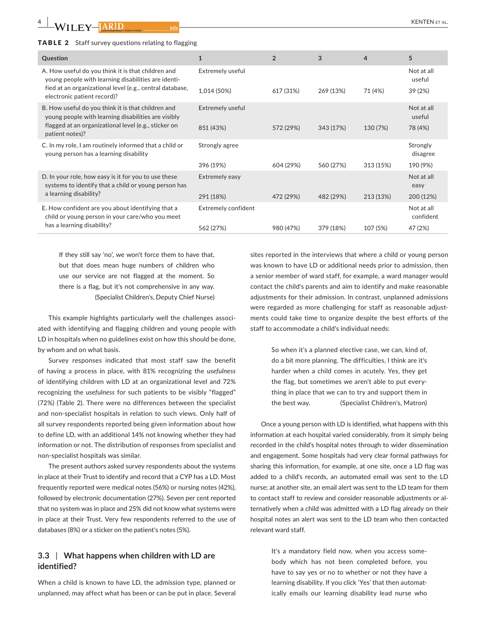#### TABLE 2 Staff survey questions relating to flagging

| A. How useful do you think it is that children and<br>Extremely useful<br>Not at all<br>young people with learning disabilities are identi-<br>useful<br>fied at an organizational level (e.g., central database,<br>1,014 (50%)<br>617 (31%)<br>269 (13%)<br>71 (4%)<br>39(2%)<br>electronic patient record)? |  |
|----------------------------------------------------------------------------------------------------------------------------------------------------------------------------------------------------------------------------------------------------------------------------------------------------------------|--|
|                                                                                                                                                                                                                                                                                                                |  |
|                                                                                                                                                                                                                                                                                                                |  |
| B. How useful do you think it is that children and<br>Extremely useful<br>Not at all<br>young people with learning disabilities are visibly<br>useful                                                                                                                                                          |  |
| flagged at an organizational level (e.g., sticker on<br>851 (43%)<br>343 (17%)<br>572 (29%)<br>130 (7%)<br>78 (4%)<br>patient notes)?                                                                                                                                                                          |  |
| C. In my role, I am routinely informed that a child or<br>Strongly agree<br>Strongly<br>young person has a learning disability<br>disagree                                                                                                                                                                     |  |
| 396 (19%)<br>604 (29%)<br>560 (27%)<br>313 (15%)<br>190 (9%)                                                                                                                                                                                                                                                   |  |
| D. In your role, how easy is it for you to use these<br>Extremely easy<br>Not at all<br>systems to identify that a child or young person has<br>easy                                                                                                                                                           |  |
| a learning disability?<br>291 (18%)<br>472 (29%)<br>482 (29%)<br>213 (13%)<br>200 (12%)                                                                                                                                                                                                                        |  |
| E. How confident are you about identifying that a<br>Extremely confident<br>Not at all<br>child or young person in your care/who you meet<br>confident                                                                                                                                                         |  |
| has a learning disability?<br>562 (27%)<br>379 (18%)<br>107 (5%)<br>47 (2%)<br>980 (47%)                                                                                                                                                                                                                       |  |

If they still say 'no', we won't force them to have that, but that does mean huge numbers of children who use our service are not flagged at the moment. So there is a flag, but it's not comprehensive in any way. (Specialist Children's, Deputy Chief Nurse)

This example highlights particularly well the challenges associ‐ ated with identifying and flagging children and young people with LD in hospitals when no guidelines exist on how this should be done, by whom and on what basis.

Survey responses indicated that most staff saw the benefit of having a process in place, with 81% recognizing the *usefulness* of identifying children with LD at an organizational level and 72% recognizing the *usefulness* for such patients to be visibly "flagged" (72%) (Table 2). There were no differences between the specialist and non‐specialist hospitals in relation to such views. Only half of all survey respondents reported being given information about how to define LD, with an additional 14% not knowing whether they had information or not. The distribution of responses from specialist and non‐specialist hospitals was similar.

The present authors asked survey respondents about the systems in place at their Trust to identify and record that a CYP has a LD. Most frequently reported were medical notes (56%) or nursing notes (42%), followed by electronic documentation (27%). Seven per cent reported that no system was in place and 25% did not know what systems were in place at their Trust. Very few respondents referred to the use of databases (8%) or a sticker on the patient's notes (5%).

## **3.3** | **What happens when children with LD are identified?**

When a child is known to have LD, the admission type, planned or unplanned, may affect what has been or can be put in place. Several

sites reported in the interviews that where a child or young person was known to have LD or additional needs prior to admission, then a senior member of ward staff, for example, a ward manager would contact the child's parents and aim to identify and make reasonable adjustments for their admission. In contrast, unplanned admissions were regarded as more challenging for staff as reasonable adjustments could take time to organize despite the best efforts of the staff to accommodate a child's individual needs:

> So when it's a planned elective case, we can, kind of, do a bit more planning. The difficulties, I think are it's harder when a child comes in acutely. Yes, they get the flag, but sometimes we aren't able to put every‐ thing in place that we can to try and support them in the best way. (Specialist Children's, Matron)

Once a young person with LD is identified, what happens with this information at each hospital varied considerably, from it simply being recorded in the child's hospital notes through to wider dissemination and engagement. Some hospitals had very clear formal pathways for sharing this information, for example, at one site, once a LD flag was added to a child's records, an automated email was sent to the LD nurse; at another site, an email alert was sent to the LD team for them to contact staff to review and consider reasonable adjustments or al‐ ternatively when a child was admitted with a LD flag already on their hospital notes an alert was sent to the LD team who then contacted relevant ward staff.

> It's a mandatory field now, when you access some‐ body which has not been completed before, you have to say yes or no to whether or not they have a learning disability. If you click 'Yes' that then automat‐ ically emails our learning disability lead nurse who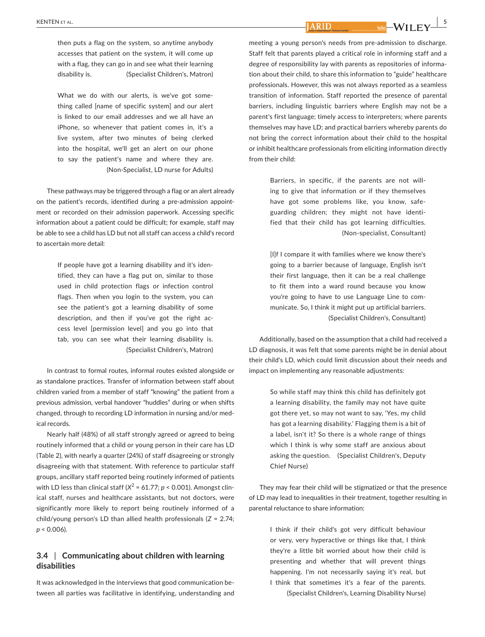**ARID** 

What we do with our alerts, is we've got some‐ thing called [name of specific system] and our alert is linked to our email addresses and we all have an iPhone, so whenever that patient comes in, it's a live system, after two minutes of being clerked into the hospital, we'll get an alert on our phone to say the patient's name and where they are. (Non‐Specialist, LD nurse for Adults)

These pathways may be triggered through a flag or an alert already on the patient's records, identified during a pre‐admission appoint‐ ment or recorded on their admission paperwork. Accessing specific information about a patient could be difficult; for example, staff may be able to see a child has LD but not all staff can access a child's record to ascertain more detail:

> If people have got a learning disability and it's iden‐ tified, they can have a flag put on, similar to those used in child protection flags or infection control flags. Then when you login to the system, you can see the patient's got a learning disability of some description, and then if you've got the right ac‐ cess level [permission level] and you go into that tab, you can see what their learning disability is. (Specialist Children's, Matron)

In contrast to formal routes, informal routes existed alongside or as standalone practices. Transfer of information between staff about children varied from a member of staff "knowing" the patient from a previous admission, verbal handover "huddles" during or when shifts changed, through to recording LD information in nursing and/or med‐ ical records.

Nearly half (48%) of all staff strongly agreed or agreed to being routinely informed that a child or young person in their care has LD (Table 2), with nearly a quarter (24%) of staff disagreeing or strongly disagreeing with that statement. With reference to particular staff groups, ancillary staff reported being routinely informed of patients with LD less than clinical staff ( $X^2$  = 61.77;  $p$  < 0.001). Amongst clinical staff, nurses and healthcare assistants, but not doctors, were significantly more likely to report being routinely informed of a child/young person's LD than allied health professionals (*Z* = 2.74; *p* < 0.006).

## **3.4** | **Communicating about children with learning disabilities**

It was acknowledged in the interviews that good communication be‐ tween all parties was facilitative in identifying, understanding and meeting a young person's needs from pre‐admission to discharge. Staff felt that parents played a critical role in informing staff and a degree of responsibility lay with parents as repositories of informa‐ tion about their child, to share this information to "guide" healthcare professionals. However, this was not always reported as a seamless transition of information. Staff reported the presence of parental barriers, including linguistic barriers where English may not be a parent's first language; timely access to interpreters; where parents themselves may have LD; and practical barriers whereby parents do not bring the correct information about their child to the hospital or inhibit healthcare professionals from eliciting information directly from their child:

> Barriers, in specific, if the parents are not will‐ ing to give that information or if they themselves have got some problems like, you know, safe‐ guarding children; they might not have identi‐ fied that their child has got learning difficulties. (Non‐specialist, Consultant)

> [I]f I compare it with families where we know there's going to a barrier because of language, English isn't their first language, then it can be a real challenge to fit them into a ward round because you know you're going to have to use Language Line to com‐ municate. So, I think it might put up artificial barriers. (Specialist Children's, Consultant)

Additionally, based on the assumption that a child had received a LD diagnosis, it was felt that some parents might be in denial about their child's LD, which could limit discussion about their needs and impact on implementing any reasonable adjustments:

> So while staff may think this child has definitely got a learning disability, the family may not have quite got there yet, so may not want to say, 'Yes, my child has got a learning disability.' Flagging them is a bit of a label, isn't it? So there is a whole range of things which I think is why some staff are anxious about asking the question. (Specialist Children's, Deputy Chief Nurse)

They may fear their child will be stigmatized or that the presence of LD may lead to inequalities in their treatment, together resulting in parental reluctance to share information:

> I think if their child's got very difficult behaviour or very, very hyperactive or things like that, I think they're a little bit worried about how their child is presenting and whether that will prevent things happening. I'm not necessarily saying it's real, but I think that sometimes it's a fear of the parents. (Specialist Children's, Learning Disability Nurse)

 $\frac{1}{\text{bild}} - \text{WII}$  FY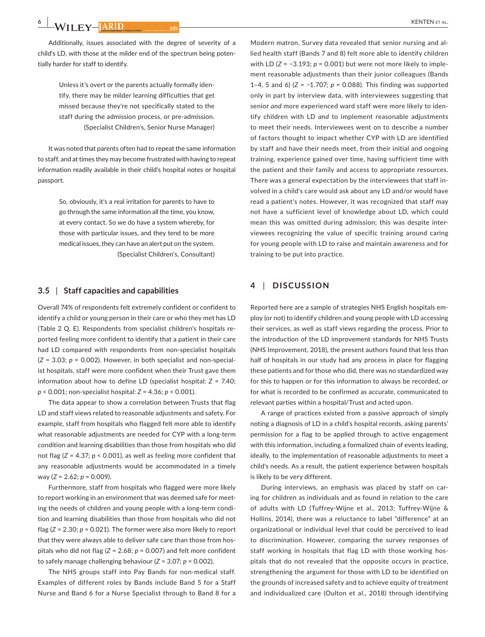Additionally, issues associated with the degree of severity of a child's LD, with those at the milder end of the spectrum being poten‐ tially harder for staff to identify.

> Unless it's overt or the parents actually formally iden‐ tify, there may be milder learning difficulties that get missed because they're not specifically stated to the staff during the admission process, or pre‐admission. (Specialist Children's, Senior Nurse Manager)

It was noted that parents often had to repeat the same information to staff, and at times they may become frustrated with having to repeat information readily available in their child's hospital notes or hospital passport.

> So, obviously, it's a real irritation for parents to have to go through the same information all the time, you know, at every contact. So we do have a system whereby, for those with particular issues, and they tend to be more medical issues, they can have an alert put on the system. (Specialist Children's, Consultant)

#### **3.5** | **Staff capacities and capabilities**

Overall 74% of respondents felt extremely confident or confident to identify a child or young person in their care or who they met has LD (Table 2 Q. E). Respondents from specialist children's hospitals re‐ ported feeling more confident to identify that a patient in their care had LD compared with respondents from non-specialist hospitals (*Z* = 3.03; *p* = 0.002). However, in both specialist and non‐special‐ ist hospitals, staff were more confident when their Trust gave them information about how to define LD (specialist hospital: *Z* = 7.40; *p* < 0.001; non‐specialist hospital: *Z* = 4.36; *p* < 0.001).

The data appear to show a correlation between Trusts that flag LD and staff views related to reasonable adjustments and safety. For example, staff from hospitals who flagged felt more able to identify what reasonable adjustments are needed for CYP with a long-term condition and learning disabilities than those from hospitals who did not flag (*Z* = 4.37; *p* < 0.001), as well as feeling more confident that any reasonable adjustments would be accommodated in a timely way (*Z* = 2.62; *p* = 0.009).

Furthermore, staff from hospitals who flagged were more likely to report working in an environment that was deemed safe for meeting the needs of children and young people with a long-term condition and learning disabilities than those from hospitals who did not flag (*Z* = 2.30; *p* = 0.021). The former were also more likely to report that they were always able to deliver safe care than those from hos‐ pitals who did not flag (*Z* = 2.68; *p* = 0.007) and felt more confident to safely manage challenging behaviour (*Z* = 3.07; *p* = 0.002).

The NHS groups staff into Pay Bands for non-medical staff. Examples of different roles by Bands include Band 5 for a Staff Nurse and Band 6 for a Nurse Specialist through to Band 8 for a

Modern matron. Survey data revealed that senior nursing and al‐ lied health staff (Bands 7 and 8) felt more able to identify children with LD (*Z* = −3.193; *p* = 0.001) but were not more likely to implement reasonable adjustments than their junior colleagues (Bands 1–4, 5 and 6) (*Z* = −1.707; *p* = 0.088). This finding was supported only in part by interview data, with interviewees suggesting that senior *and* more experienced ward staff were more likely to iden‐ tify children with LD *and* to implement reasonable adjustments to meet their needs. Interviewees went on to describe a number of factors thought to impact whether CYP with LD are identified by staff and have their needs meet, from their initial and ongoing training, experience gained over time, having sufficient time with the patient and their family and access to appropriate resources. There was a general expectation by the interviewees that staff in‐ volved in a child's care would ask about any LD and/or would have read a patient's notes. However, it was recognized that staff may not have a sufficient level of knowledge about LD, which could mean this was omitted during admission; this was despite inter‐ viewees recognizing the value of specific training around caring for young people with LD to raise and maintain awareness and for training to be put into practice.

## **4** | **DISCUSSION**

Reported here are a sample of strategies NHS English hospitals em‐ ploy (or not) to identify children and young people with LD accessing their services, as well as staff views regarding the process. Prior to the introduction of the LD improvement standards for NHS Trusts (NHS Improvement, 2018), the present authors found that less than half of hospitals in our study had any process in place for flagging these patients and for those who did, there was no standardized way for this to happen or for this information to always be recorded, or for what is recorded to be confirmed as accurate, communicated to relevant parties within a hospital/Trust and acted upon.

A range of practices existed from a passive approach of simply noting a diagnosis of LD in a child's hospital records, asking parents' permission for a flag to be applied through to active engagement with this information, including a formalized chain of events leading, ideally, to the implementation of reasonable adjustments to meet a child's needs. As a result, the patient experience between hospitals is likely to be very different.

During interviews, an emphasis was placed by staff on car‐ ing for children as individuals and as found in relation to the care of adults with LD (Tuffrey‐Wijne et al., 2013; Tuffrey‐Wijne & Hollins, 2014), there was a reluctance to label "difference" at an organizational or individual level that could be perceived to lead to discrimination. However, comparing the survey responses of staff working in hospitals that flag LD with those working hos‐ pitals that do not revealed that the opposite occurs in practice, strengthening the argument for those with LD to be identified on the grounds of increased safety and to achieve equity of treatment and individualized care (Oulton et al., 2018) through identifying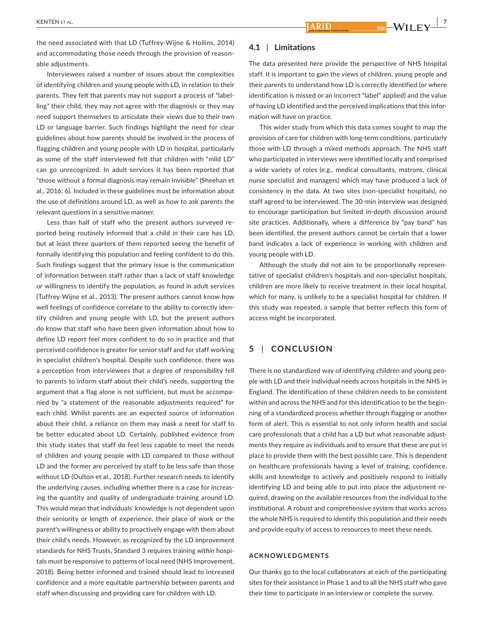the need associated with that LD (Tuffrey‐Wijne & Hollins, 2014) and accommodating those needs through the provision of reasonable adjustments.

Interviewees raised a number of issues about the complexities of identifying children and young people with LD, in relation to their parents. They felt that parents may not support a process of "label‐ ling" their child, they may not agree with the diagnosis or they may need support themselves to articulate their views due to their own LD or language barrier. Such findings highlight the need for clear guidelines about how parents should be involved in the process of flagging children and young people with LD in hospital, particularly as some of the staff interviewed felt that children with "mild LD" can go unrecognized. In adult services it has been reported that "those without a formal diagnosis may remain invisible" (Sheehan et al., 2016: 6). Included in these guidelines must be information about the use of definitions around LD, as well as how to ask parents the relevant questions in a sensitive manner.

Less than half of staff who the present authors surveyed re‐ ported being routinely informed that a child in their care has LD, but at least three quarters of them reported seeing the benefit of formally identifying this population and feeling confident to do this. Such findings suggest that the primary issue is the communication of information between staff rather than a lack of staff knowledge or willingness to identify the population, as found in adult services (Tuffrey‐Wijne et al., 2013). The present authors cannot know how well feelings of confidence correlate to the ability to correctly identify children and young people with LD, but the present authors do know that staff who have been given information about how to define LD report feel more confident to do so in practice and that perceived confidence is greater for senior staff and for staff working in specialist children's hospital. Despite such confidence, there was a perception from interviewees that a degree of responsibility fell to parents to inform staff about their child's needs, supporting the argument that a flag alone is not sufficient, but must be accompa‐ nied by "a statement of the reasonable adjustments required" for each child. Whilst parents are an expected source of information about their child, a reliance on them may mask a need for staff to be better educated about LD. Certainly, published evidence from this study states that staff do feel less capable to meet the needs of children and young people with LD compared to those without LD and the former are perceived by staff to be less safe than those without LD (Oulton et al., 2018). Further research needs to identify the underlying causes, including whether there is a case for increas‐ ing the quantity and quality of undergraduate training around LD. This would mean that individuals' knowledge is not dependent upon their seniority or length of experience, their place of work or the parent's willingness or ability to proactively engage with them about their child's needs. However, as recognized by the LD improvement standards for NHS Trusts, Standard 3 requires training *within* hospi‐ tals must be responsive to patterns of local need (NHS Improvement, 2018). Being better informed and trained should lead to increased confidence and a more equitable partnership between parents and staff when discussing and providing care for children with LD.

#### **4.1** | **Limitations**

The data presented here provide the perspective of NHS hospital staff. It is important to gain the views of children, young people and their parents to understand how LD is correctly identified (or where identification is missed or an incorrect "label" applied) and the value of having LD identified and the perceived implications that this infor‐ mation will have on practice.

This wider study from which this data comes sought to map the provision of care for children with long‐term conditions, particularly those with LD through a mixed methods approach. The NHS staff who participated in interviews were identified locally and comprised a wide variety of roles (e.g., medical consultants, matrons, clinical nurse specialist and managers) which may have produced a lack of consistency in the data. At two sites (non‐specialist hospitals), no staff agreed to be interviewed. The 30‐min interview was designed to encourage participation but limited in‐depth discussion around site practices. Additionally, where a difference by "pay band" has been identified, the present authors cannot be certain that a lower band indicates a lack of experience in working with children and young people with LD.

Although the study did not aim to be proportionally represen‐ tative of specialist children's hospitals and non‐specialist hospitals, children are more likely to receive treatment in their local hospital, which for many, is unlikely to be a specialist hospital for children. If this study was repeated, a sample that better reflects this form of access might be incorporated.

## **5** | **CONCLUSION**

There is no standardized way of identifying children and young peo‐ ple with LD and their individual needs across hospitals in the NHS in England. The identification of these children needs to be consistent within and across the NHS and for this identification to be the begin‐ ning of a standardized process whether through flagging or another form of alert. This is essential to not only inform health and social care professionals that a child has a LD but what reasonable adjustments they require as individuals and to ensure that these are put in place to provide them with the best possible care. This is dependent on healthcare professionals having a level of training, confidence, skills and knowledge to actively and positively respond to initially identifying LD and being able to put into place the adjustment re‐ quired, drawing on the available resources from the individual to the institutional. A robust and comprehensive system that works across the whole NHS is required to identify this population and their needs and provide equity of access to resources to meet these needs.

#### **ACKNOWLEDGMENTS**

Our thanks go to the local collaborators at each of the participating sites for their assistance in Phase 1 and to all the NHS staff who gave their time to participate in an interview or complete the survey.